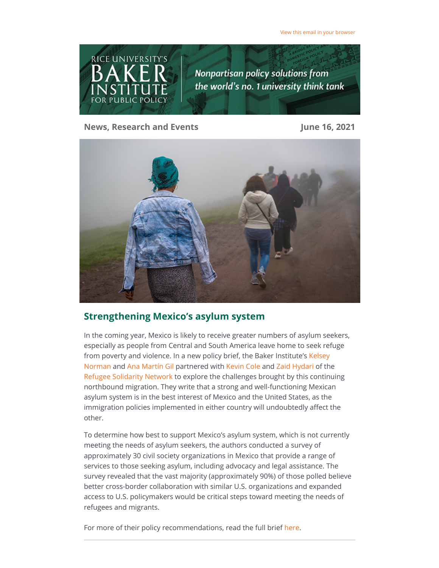

#### **News, Research and Events June 16, 2021**



# **Strengthening Mexico's asylum system**

In the coming year, Mexico is likely to receive greater numbers of asylum seekers, especially as people from Central and South America leave home to seek refuge [from poverty and violence. In a new policy brief, the Baker Institute's Kelsey](https://riceconnect.rice.edu/page.redir?target=https%3a%2f%2fwww.bakerinstitute.org%2fexperts%2fkelsey-norman%2f&srcid=235196&srctid=1&erid=6c2f08e1-f626-4fa5-b790-4345c5211c0b&trid=6c2f08e1-f626-4fa5-b790-4345c5211c0b) Norman and [Ana Martín Gil](https://riceconnect.rice.edu/page.redir?target=https%3a%2f%2fmga.rice.edu%2fcurrent-students%2fana-martingil&srcid=235196&srctid=1&erid=6c2f08e1-f626-4fa5-b790-4345c5211c0b&trid=6c2f08e1-f626-4fa5-b790-4345c5211c0b) partnered with [Kevin Cole](https://riceconnect.rice.edu/page.redir?target=https%3a%2f%2fwww.linkedin.com%2fin%2fkevin-cole93%2f&srcid=235196&srctid=1&erid=6c2f08e1-f626-4fa5-b790-4345c5211c0b&trid=6c2f08e1-f626-4fa5-b790-4345c5211c0b) and [Zaid Hydari](https://riceconnect.rice.edu/page.redir?target=https%3a%2f%2fwww.fordham.edu%2finfo%2f23645%2fg_-_h%2f11029%2fzaid_hydari&srcid=235196&srctid=1&erid=6c2f08e1-f626-4fa5-b790-4345c5211c0b&trid=6c2f08e1-f626-4fa5-b790-4345c5211c0b) of the [Refugee Solidarity Network](https://riceconnect.rice.edu/page.redir?target=https%3a%2f%2frefugeesolidaritynetwork.org%2f&srcid=235196&srctid=1&erid=6c2f08e1-f626-4fa5-b790-4345c5211c0b&trid=6c2f08e1-f626-4fa5-b790-4345c5211c0b) to explore the challenges brought by this continuing northbound migration. They write that a strong and well-functioning Mexican asylum system is in the best interest of Mexico and the United States, as the immigration policies implemented in either country will undoubtedly affect the other.

To determine how best to support Mexico's asylum system, which is not currently meeting the needs of asylum seekers, the authors conducted a survey of approximately 30 civil society organizations in Mexico that provide a range of services to those seeking asylum, including advocacy and legal assistance. The survey revealed that the vast majority (approximately 90%) of those polled believe better cross-border collaboration with similar U.S. organizations and expanded access to U.S. policymakers would be critical steps toward meeting the needs of refugees and migrants.

For more of their policy recommendations, read the full brief [here.](https://riceconnect.rice.edu/page.redir?target=https%3a%2f%2fwww.bakerinstitute.org%2fresearch%2fstrengthening-mexicos-asylum-system-through-cross-border-civil-society-engagement%2f&srcid=235196&srctid=1&erid=6c2f08e1-f626-4fa5-b790-4345c5211c0b&trid=6c2f08e1-f626-4fa5-b790-4345c5211c0b)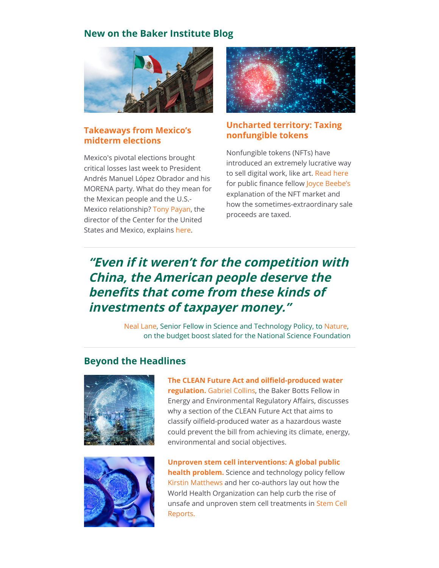# **New on the Baker Institute Blog**



### **[Takeaways from Mexico's](https://riceconnect.rice.edu/page.redir?target=https%3a%2f%2fblog.bakerinstitute.org%2f2021%2f06%2f07%2fmexicos-midterm-elections-winners-and-losers-and-their-impact-on-u-s-mexico-relations%2f&srcid=235196&srctid=1&erid=6c2f08e1-f626-4fa5-b790-4345c5211c0b&trid=6c2f08e1-f626-4fa5-b790-4345c5211c0b) midterm elections**

Mexico's pivotal elections brought critical losses last week to President Andrés Manuel López Obrador and his MORENA party. What do they mean for the Mexican people and the U.S.- Mexico relationship? [Tony Payan,](https://riceconnect.rice.edu/page.redir?target=https%3a%2f%2fwww.bakerinstitute.org%2fexperts%2ftony-payan%2f&srcid=235196&srctid=1&erid=6c2f08e1-f626-4fa5-b790-4345c5211c0b&trid=6c2f08e1-f626-4fa5-b790-4345c5211c0b) the director of the Center for the United States and Mexico, explains [here](https://riceconnect.rice.edu/page.redir?target=https%3a%2f%2fblog.bakerinstitute.org%2f2021%2f06%2f07%2fmexicos-midterm-elections-winners-and-losers-and-their-impact-on-u-s-mexico-relations%2f&srcid=235196&srctid=1&erid=6c2f08e1-f626-4fa5-b790-4345c5211c0b&trid=6c2f08e1-f626-4fa5-b790-4345c5211c0b).



### **[Uncharted territory: Taxing](https://riceconnect.rice.edu/page.redir?target=https%3a%2f%2fblog.bakerinstitute.org%2f2021%2f06%2f08%2fthe-uncharted-territory-of-taxing-non-fungible-tokens-nfts%2f&srcid=235196&srctid=1&erid=6c2f08e1-f626-4fa5-b790-4345c5211c0b&trid=6c2f08e1-f626-4fa5-b790-4345c5211c0b) nonfungible tokens**

Nonfungible tokens (NFTs) have introduced an extremely lucrative way to sell digital work, like art. [Read here](https://riceconnect.rice.edu/page.redir?target=http%3a%2f%2fblog.bakerinstitute.org%2f2021%2f06%2f08%2fthe-uncharted-territory-of-taxing-non-fungible-tokens-nfts%2f&srcid=235196&srctid=1&erid=6c2f08e1-f626-4fa5-b790-4345c5211c0b&trid=6c2f08e1-f626-4fa5-b790-4345c5211c0b) for public finance fellow [Joyce Beebe's](https://riceconnect.rice.edu/page.redir?target=https%3a%2f%2fwww.bakerinstitute.org%2fexperts%2fjoyce-beebe%2f&srcid=235196&srctid=1&erid=6c2f08e1-f626-4fa5-b790-4345c5211c0b&trid=6c2f08e1-f626-4fa5-b790-4345c5211c0b) explanation of the NFT market and how the sometimes-extraordinary sale proceeds are taxed.

# **"Even if it weren't for the competition with China, the American people deserve the benefits that come from these kinds of investments of taxpayer money."**

[Neal Lane,](https://riceconnect.rice.edu/page.redir?target=https%3a%2f%2fwww.bakerinstitute.org%2fexperts%2fneal-f-lane%2f&srcid=235196&srctid=1&erid=6c2f08e1-f626-4fa5-b790-4345c5211c0b&trid=6c2f08e1-f626-4fa5-b790-4345c5211c0b) Senior Fellow in Science and Technology Policy, to [Nature](https://riceconnect.rice.edu/page.redir?target=https%3a%2f%2fwww.nature.com%2farticles%2fd41586-021-01559-x&srcid=235196&srctid=1&erid=6c2f08e1-f626-4fa5-b790-4345c5211c0b&trid=6c2f08e1-f626-4fa5-b790-4345c5211c0b), on the budget boost slated for the National Science Foundation

# **Beyond the Headlines**





**[The CLEAN Future Act and oilfield-produced water](https://riceconnect.rice.edu/page.redir?target=https%3a%2f%2fwww.bakerinstitute.org%2fresearch%2fclean-future-act-and-oilfield-produced-water-regulation-potential-consequences-us-and-global-energy%2f&srcid=235196&srctid=1&erid=6c2f08e1-f626-4fa5-b790-4345c5211c0b&trid=6c2f08e1-f626-4fa5-b790-4345c5211c0b) regulation.** [Gabriel Collins,](https://riceconnect.rice.edu/page.redir?target=https%3a%2f%2fwww.bakerinstitute.org%2fexperts%2fgabe-collins%2f&srcid=235196&srctid=1&erid=6c2f08e1-f626-4fa5-b790-4345c5211c0b&trid=6c2f08e1-f626-4fa5-b790-4345c5211c0b) the Baker Botts Fellow in Energy and Environmental Regulatory Affairs, discusses why a section of the CLEAN Future Act that aims to classify oilfield-produced water as a hazardous waste could prevent the bill from achieving its climate, energy, environmental and social objectives.

**[Unproven stem cell interventions: A global public](https://riceconnect.rice.edu/page.redir?target=https%3a%2f%2fwww.bakerinstitute.org%2fresearch%2funproven-stem-cell-interventions-global-public-health-problem-requiring-global-deliberation%2f&srcid=235196&srctid=1&erid=6c2f08e1-f626-4fa5-b790-4345c5211c0b&trid=6c2f08e1-f626-4fa5-b790-4345c5211c0b) health problem.** Science and technology policy fellow [Kirstin Matthews](https://riceconnect.rice.edu/page.redir?target=https%3a%2f%2fwww.bakerinstitute.org%2fexperts%2fkirstin-rw-matthews%2f&srcid=235196&srctid=1&erid=6c2f08e1-f626-4fa5-b790-4345c5211c0b&trid=6c2f08e1-f626-4fa5-b790-4345c5211c0b) and her co-authors lay out how the World Health Organization can help curb the rise of [unsafe and unproven stem cell treatments in Stem Cell](https://riceconnect.rice.edu/page.redir?target=https%3a%2f%2fwww.bakerinstitute.org%2fresearch%2funproven-stem-cell-interventions-global-public-health-problem-requiring-global-deliberation%2f&srcid=235196&srctid=1&erid=6c2f08e1-f626-4fa5-b790-4345c5211c0b&trid=6c2f08e1-f626-4fa5-b790-4345c5211c0b) Reports.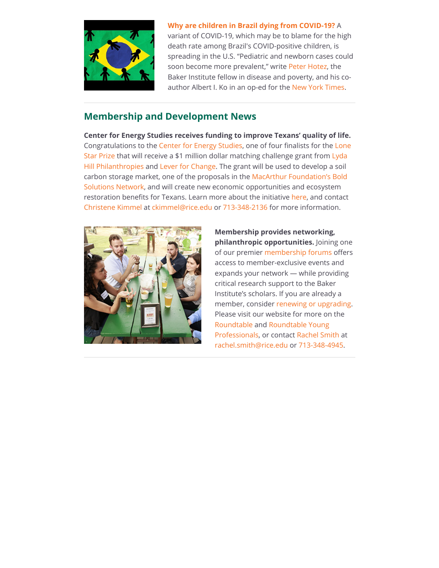

**[Why are children in Brazil dying from COVID-19?](https://riceconnect.rice.edu/page.redir?target=https%3a%2f%2fwww.bakerinstitute.org%2fresearch%2fwhy-are-so-many-children-brazil-dying-covid-19%2f&srcid=235196&srctid=1&erid=6c2f08e1-f626-4fa5-b790-4345c5211c0b&trid=6c2f08e1-f626-4fa5-b790-4345c5211c0b)** A variant of COVID-19, which may be to blame for the high death rate among Brazil's COVID-positive children, is spreading in the U.S. "Pediatric and newborn cases could soon become more prevalent," write [Peter Hotez](https://riceconnect.rice.edu/page.redir?target=https%3a%2f%2fwww.bakerinstitute.org%2fexperts%2fpeter-j-hotez%2f&srcid=235196&srctid=1&erid=6c2f08e1-f626-4fa5-b790-4345c5211c0b&trid=6c2f08e1-f626-4fa5-b790-4345c5211c0b), the Baker Institute fellow in disease and poverty, and his coauthor Albert I. Ko in an op-ed for the [New York Times](https://riceconnect.rice.edu/page.redir?target=https%3a%2f%2fwww.bakerinstitute.org%2fresearch%2fwhy-are-so-many-children-brazil-dying-covid-19%2f&srcid=235196&srctid=1&erid=6c2f08e1-f626-4fa5-b790-4345c5211c0b&trid=6c2f08e1-f626-4fa5-b790-4345c5211c0b).

# **Membership and Development News**

**Center for Energy Studies receives funding to improve Texans' quality of life.** [Congratulations to the C](https://riceconnect.rice.edu/page.redir?target=https%3a%2f%2flonestarprize.org%2fresults&srcid=235196&srctid=1&erid=6c2f08e1-f626-4fa5-b790-4345c5211c0b&trid=6c2f08e1-f626-4fa5-b790-4345c5211c0b)[enter for Energy Studies](https://riceconnect.rice.edu/page.redir?target=https%3a%2f%2fwww.bakerinstitute.org%2fcenter-for-energy-studies%2f&srcid=235196&srctid=1&erid=6c2f08e1-f626-4fa5-b790-4345c5211c0b&trid=6c2f08e1-f626-4fa5-b790-4345c5211c0b)[, one of four finalists for the Lone](https://riceconnect.rice.edu/page.redir?target=https%3a%2f%2flonestarprize.org%2fresults&srcid=235196&srctid=1&erid=6c2f08e1-f626-4fa5-b790-4345c5211c0b&trid=6c2f08e1-f626-4fa5-b790-4345c5211c0b) [Star Prize that will receive a \\$1 million dollar matching challenge grant from Lyda](https://riceconnect.rice.edu/page.redir?target=https%3a%2f%2fwww.lydahillphilanthropies.org%2f&srcid=235196&srctid=1&erid=6c2f08e1-f626-4fa5-b790-4345c5211c0b&trid=6c2f08e1-f626-4fa5-b790-4345c5211c0b) Hill Philanthropies and [Lever for Change.](https://riceconnect.rice.edu/page.redir?target=https%3a%2f%2fwww.leverforchange.org%2f&srcid=235196&srctid=1&erid=6c2f08e1-f626-4fa5-b790-4345c5211c0b&trid=6c2f08e1-f626-4fa5-b790-4345c5211c0b) The grant will be used to develop a soil [carbon storage market, one of the proposals in the MacArthur Foundation's Bold](https://riceconnect.rice.edu/page.redir?target=https%3a%2f%2fsolutions.leverforchange.org%2f&srcid=235196&srctid=1&erid=6c2f08e1-f626-4fa5-b790-4345c5211c0b&trid=6c2f08e1-f626-4fa5-b790-4345c5211c0b) Solutions Network, and will create new economic opportunities and ecosystem restoration benefits for Texans. Learn more about the initiative [here](https://riceconnect.rice.edu/page.redir?target=https%3a%2f%2fsolutions.leverforchange.org%2flone-star-prize%2ftexas-dirt%2f&srcid=235196&srctid=1&erid=6c2f08e1-f626-4fa5-b790-4345c5211c0b&trid=6c2f08e1-f626-4fa5-b790-4345c5211c0b), and contact [Christene Kimmel](https://riceconnect.rice.edu/page.redir?target=https%3a%2f%2fwww.bakerinstitute.org%2fstaff%2fchristene-kimmel%2f&srcid=235196&srctid=1&erid=6c2f08e1-f626-4fa5-b790-4345c5211c0b&trid=6c2f08e1-f626-4fa5-b790-4345c5211c0b) at [ckimmel@rice.edu](mailto:ckimmel@rice.edu) or [713-348-2136](tel:7133482136) for more information.



**Membership provides networking, philanthropic opportunities.** Joining one of our premier [membership forums](https://riceconnect.rice.edu/page.redir?target=https%3a%2f%2friceconnect.rice.edu%2fbaker-institute-roundtable-membership&srcid=235196&srctid=1&erid=6c2f08e1-f626-4fa5-b790-4345c5211c0b&trid=6c2f08e1-f626-4fa5-b790-4345c5211c0b) offers access to member-exclusive events and expands your network — while providing critical research support to the Baker Institute's scholars. If you are already a member, consider [renewing or upgrading](https://riceconnect.rice.edu/page.redir?target=https%3a%2f%2friceconnect.rice.edu%2fbaker-institute-roundtable-membership&srcid=235196&srctid=1&erid=6c2f08e1-f626-4fa5-b790-4345c5211c0b&trid=6c2f08e1-f626-4fa5-b790-4345c5211c0b). Please visit our website for more on the [Roundtabl](https://riceconnect.rice.edu/page.redir?target=https%3a%2f%2fwww.bakerinstitute.org%2fjoin-the-baker-roundtable%2f&srcid=235196&srctid=1&erid=6c2f08e1-f626-4fa5-b790-4345c5211c0b&trid=6c2f08e1-f626-4fa5-b790-4345c5211c0b)[e and Roundtable Young](https://riceconnect.rice.edu/page.redir?target=https%3a%2f%2fwww.bakerinstitute.org%2froundtable-young-professionals%2f&srcid=235196&srctid=1&erid=6c2f08e1-f626-4fa5-b790-4345c5211c0b&trid=6c2f08e1-f626-4fa5-b790-4345c5211c0b) Professionals, or contact [Rachel Smith](https://riceconnect.rice.edu/page.redir?target=https%3a%2f%2fwww.bakerinstitute.org%2fstaff%2frachel-smith%2f&srcid=235196&srctid=1&erid=6c2f08e1-f626-4fa5-b790-4345c5211c0b&trid=6c2f08e1-f626-4fa5-b790-4345c5211c0b) at [rachel.smith@rice.edu](mailto:rachel.smith@rice.edu) or [713-348-4945.](tel:7133484945)